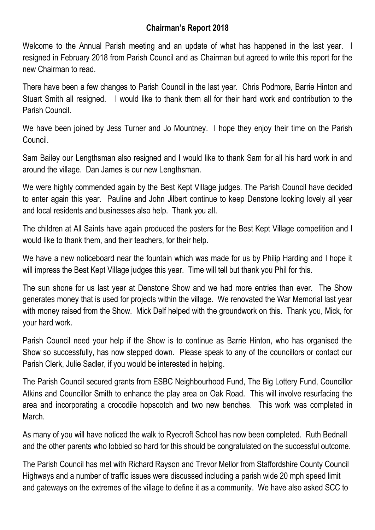## **Chairman's Report 2018**

Welcome to the Annual Parish meeting and an update of what has happened in the last year. I resigned in February 2018 from Parish Council and as Chairman but agreed to write this report for the new Chairman to read.

There have been a few changes to Parish Council in the last year. Chris Podmore, Barrie Hinton and Stuart Smith all resigned. I would like to thank them all for their hard work and contribution to the Parish Council.

We have been joined by Jess Turner and Jo Mountney. I hope they enjoy their time on the Parish Council.

Sam Bailey our Lengthsman also resigned and I would like to thank Sam for all his hard work in and around the village. Dan James is our new Lengthsman.

We were highly commended again by the Best Kept Village judges. The Parish Council have decided to enter again this year. Pauline and John Jilbert continue to keep Denstone looking lovely all year and local residents and businesses also help. Thank you all.

The children at All Saints have again produced the posters for the Best Kept Village competition and I would like to thank them, and their teachers, for their help.

We have a new noticeboard near the fountain which was made for us by Philip Harding and I hope it will impress the Best Kept Village judges this year. Time will tell but thank you Phil for this.

The sun shone for us last year at Denstone Show and we had more entries than ever. The Show generates money that is used for projects within the village. We renovated the War Memorial last year with money raised from the Show. Mick Delf helped with the groundwork on this. Thank you, Mick, for your hard work.

Parish Council need your help if the Show is to continue as Barrie Hinton, who has organised the Show so successfully, has now stepped down. Please speak to any of the councillors or contact our Parish Clerk, Julie Sadler, if you would be interested in helping.

The Parish Council secured grants from ESBC Neighbourhood Fund, The Big Lottery Fund, Councillor Atkins and Councillor Smith to enhance the play area on Oak Road. This will involve resurfacing the area and incorporating a crocodile hopscotch and two new benches. This work was completed in March.

As many of you will have noticed the walk to Ryecroft School has now been completed. Ruth Bednall and the other parents who lobbied so hard for this should be congratulated on the successful outcome.

The Parish Council has met with Richard Rayson and Trevor Mellor from Staffordshire County Council Highways and a number of traffic issues were discussed including a parish wide 20 mph speed limit and gateways on the extremes of the village to define it as a community. We have also asked SCC to